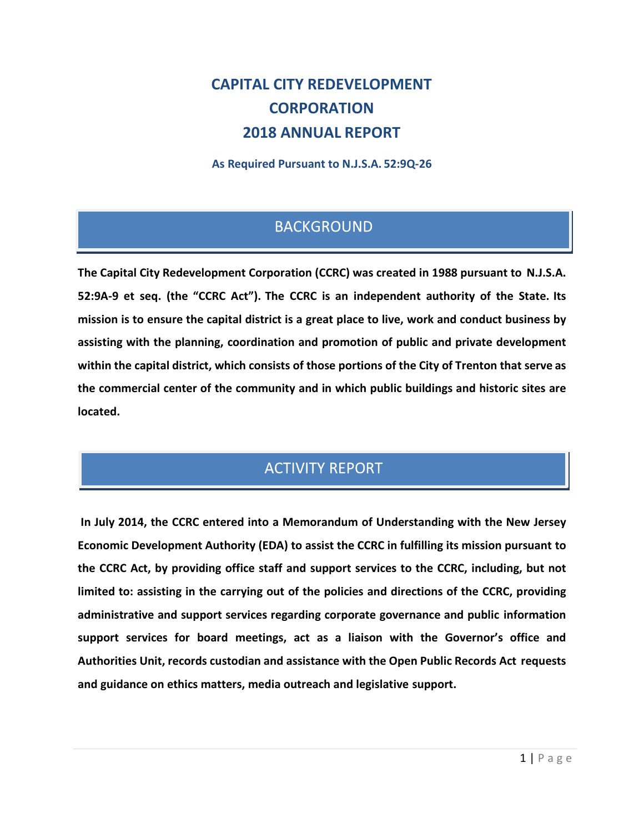# **CAPITAL CITY REDEVELOPMENT CORPORATION 2018 ANNUAL REPORT**

**As Required Pursuant to N.J.S.A. 52:9Q-26**

## **BACKGROUND**

**The Capital City Redevelopment Corporation (CCRC) was created in 1988 pursuant to N.J.S.A. 52:9A-9 et seq. (the "CCRC Act"). The CCRC is an independent authority of the State. Its mission is to ensure the capital district is a great place to live, work and conduct business by assisting with the planning, coordination and promotion of public and private development within the capital district, which consists of those portions of the City of Trenton that serve as the commercial center of the community and in which public buildings and historic sites are located.**

## **ACTIVITY REPORT**

**In July 2014, the CCRC entered into a Memorandum of Understanding with the New Jersey Economic Development Authority (EDA) to assist the CCRC in fulfilling its mission pursuant to the CCRC Act, by providing office staff and support services to the CCRC, including, but not limited to: assisting in the carrying out of the policies and directions of the CCRC, providing administrative and support services regarding corporate governance and public information support services for board meetings, act as a liaison with the Governor's office and Authorities Unit, records custodian and assistance with the Open Public Records Act requests and guidance on ethics matters, media outreach and legislative support.**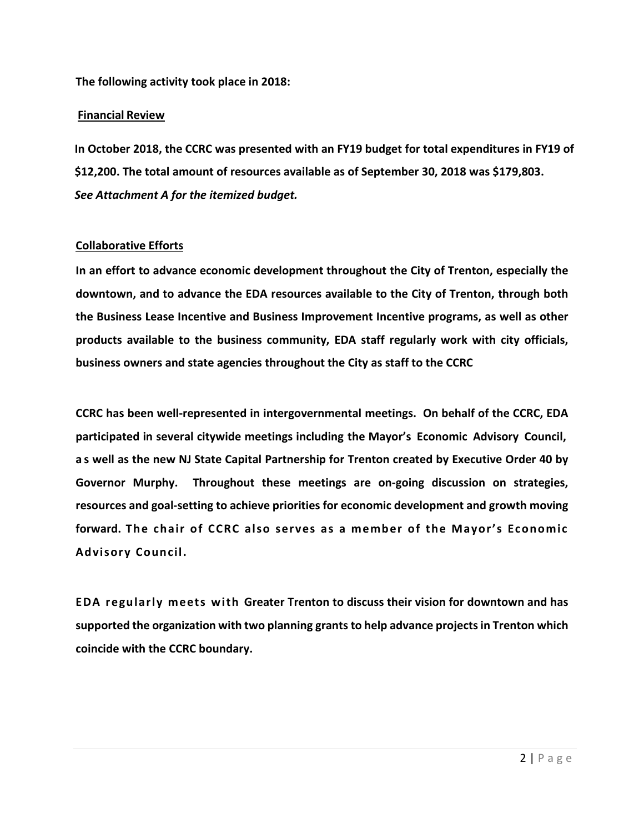**The following activity took place in 2018:** 

#### **Financial Review**

**In October 2018, the CCRC was presented with an FY19 budget for total expenditures in FY19 of \$12,200. The total amount of resources available as of September 30, 2018 was \$179,803.**  *See Attachment A for the itemized budget.*

#### **Collaborative Efforts**

**In an effort to advance economic development throughout the City of Trenton, especially the downtown, and to advance the EDA resources available to the City of Trenton, through both the Business Lease Incentive and Business Improvement Incentive programs, as well as other products available to the business community, EDA staff regularly work with city officials, business owners and state agencies throughout the City as staff to the CCRC**

**CCRC has been well-represented in intergovernmental meetings. On behalf of the CCRC, EDA participated in several citywide meetings including the Mayor's Economic Advisory Council, a s well as the new NJ State Capital Partnership for Trenton created by Executive Order 40 by Governor Murphy. Throughout these meetings are on-going discussion on strategies, resources and goal-setting to achieve priorities for economic development and growth moving forward. The chair of CCRC also serves as a member of the Mayor's Economic Advisory Council.**

**EDA regularly meets with Greater Trenton to discuss their vision for downtown and has supported the organization with two planning grants to help advance projects in Trenton which coincide with the CCRC boundary.**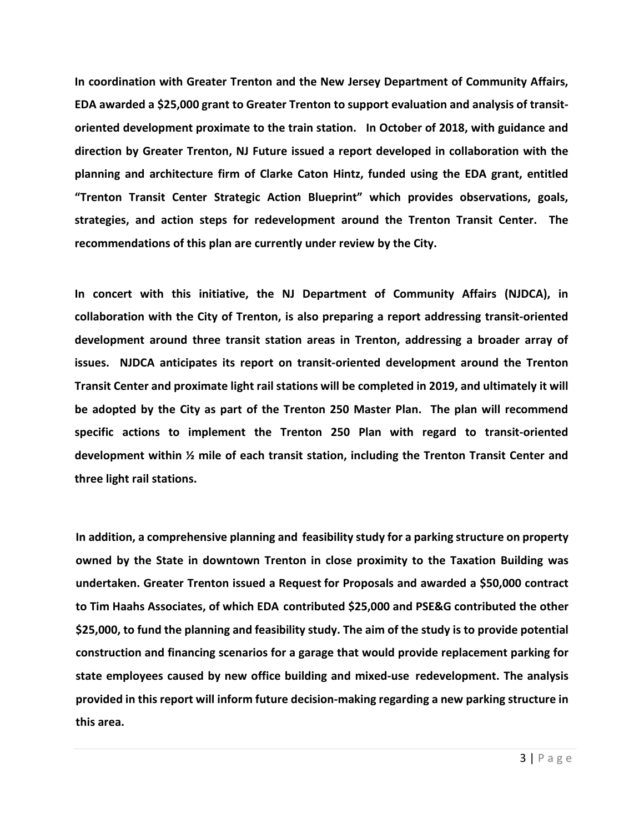**In coordination with Greater Trenton and the New Jersey Department of Community Affairs, EDA awarded a \$25,000 grant to Greater Trenton to support evaluation and analysis of transitoriented development proximate to the train station. In October of 2018, with guidance and direction by Greater Trenton, NJ Future issued a report developed in collaboration with the planning and architecture firm of Clarke Caton Hintz, funded using the EDA grant, entitled "Trenton Transit Center Strategic Action Blueprint" which provides observations, goals, strategies, and action steps for redevelopment around the Trenton Transit Center. The recommendations of this plan are currently under review by the City.** 

**In concert with this initiative, the NJ Department of Community Affairs (NJDCA), in collaboration with the City of Trenton, is also preparing a report addressing transit-oriented development around three transit station areas in Trenton, addressing a broader array of issues. NJDCA anticipates its report on transit-oriented development around the Trenton Transit Center and proximate light rail stations will be completed in 2019, and ultimately it will be adopted by the City as part of the Trenton 250 Master Plan. The plan will recommend specific actions to implement the Trenton 250 Plan with regard to transit-oriented development within ½ mile of each transit station, including the Trenton Transit Center and three light rail stations.** 

**In addition, a comprehensive planning and feasibility study for a parking structure on property owned by the State in downtown Trenton in close proximity to the Taxation Building was undertaken. Greater Trenton issued a Request for Proposals and awarded a \$50,000 contract to Tim Haahs Associates, of which EDA contributed \$25,000 and PSE&G contributed the other \$25,000, to fund the planning and feasibility study. The aim of the study is to provide potential construction and financing scenarios for a garage that would provide replacement parking for state employees caused by new office building and mixed-use redevelopment. The analysis provided in this report will inform future decision-making regarding a new parking structure in this area.**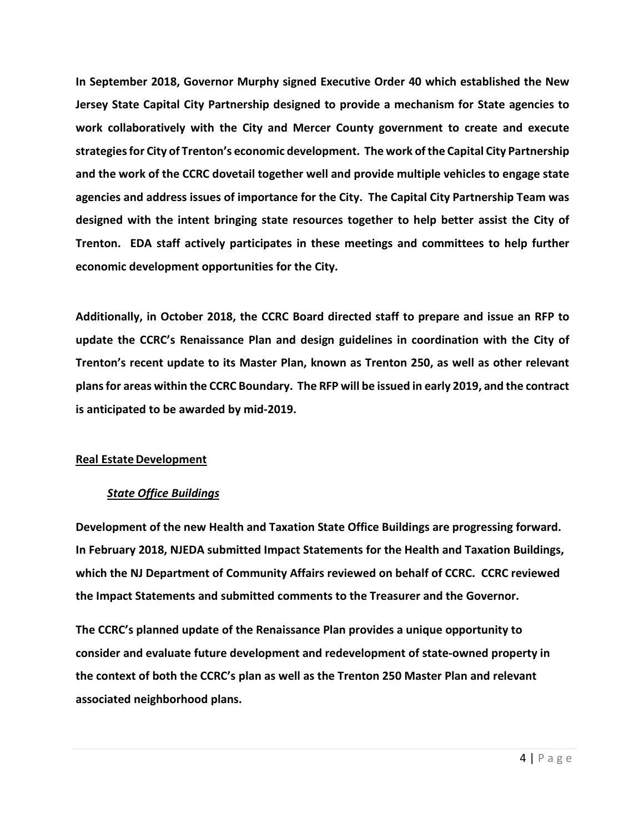**In September 2018, Governor Murphy signed Executive Order 40 which established the New Jersey State Capital City Partnership designed to provide a mechanism for State agencies to work collaboratively with the City and Mercer County government to create and execute strategies for City of Trenton's economic development. The work of the Capital City Partnership and the work of the CCRC dovetail together well and provide multiple vehicles to engage state agencies and address issues of importance for the City. The Capital City Partnership Team was designed with the intent bringing state resources together to help better assist the City of Trenton. EDA staff actively participates in these meetings and committees to help further economic development opportunities for the City.** 

**Additionally, in October 2018, the CCRC Board directed staff to prepare and issue an RFP to update the CCRC's Renaissance Plan and design guidelines in coordination with the City of Trenton's recent update to its Master Plan, known as Trenton 250, as well as other relevant plans for areas within the CCRC Boundary. The RFP will be issued in early 2019, and the contract is anticipated to be awarded by mid-2019.** 

#### **Real Estate Development**

#### *State Office Buildings*

**Development of the new Health and Taxation State Office Buildings are progressing forward. In February 2018, NJEDA submitted Impact Statements for the Health and Taxation Buildings, which the NJ Department of Community Affairs reviewed on behalf of CCRC. CCRC reviewed the Impact Statements and submitted comments to the Treasurer and the Governor.** 

**The CCRC's planned update of the Renaissance Plan provides a unique opportunity to consider and evaluate future development and redevelopment of state-owned property in the context of both the CCRC's plan as well as the Trenton 250 Master Plan and relevant associated neighborhood plans.**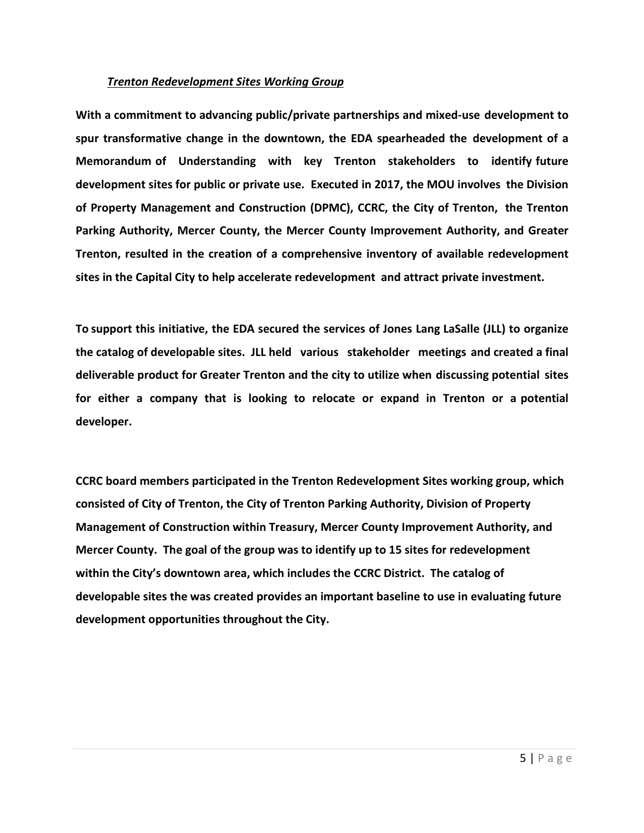#### *Trenton Redevelopment Sites Working Group*

**With a commitment to advancing public/private partnerships and mixed-use development to spur transformative change in the downtown, the EDA spearheaded the development of a Memorandum of Understanding with key Trenton stakeholders to identify future development sites for public or private use. Executed in 2017, the MOU involves the Division of Property Management and Construction (DPMC), CCRC, the City of Trenton, the Trenton Parking Authority, Mercer County, the Mercer County Improvement Authority, and Greater Trenton, resulted in the creation of a comprehensive inventory of available redevelopment sites in the Capital City to help accelerate redevelopment and attract private investment.** 

**To support this initiative, the EDA secured the services of Jones Lang LaSalle (JLL) to organize the catalog of developable sites. JLL held various stakeholder meetings and created a final deliverable product for Greater Trenton and the city to utilize when discussing potential sites for either a company that is looking to relocate or expand in Trenton or a potential developer.** 

**CCRC board members participated in the Trenton Redevelopment Sites working group, which consisted of City of Trenton, the City of Trenton Parking Authority, Division of Property Management of Construction within Treasury, Mercer County Improvement Authority, and Mercer County. The goal of the group was to identify up to 15 sites for redevelopment within the City's downtown area, which includes the CCRC District. The catalog of developable sites the was created provides an important baseline to use in evaluating future development opportunities throughout the City.**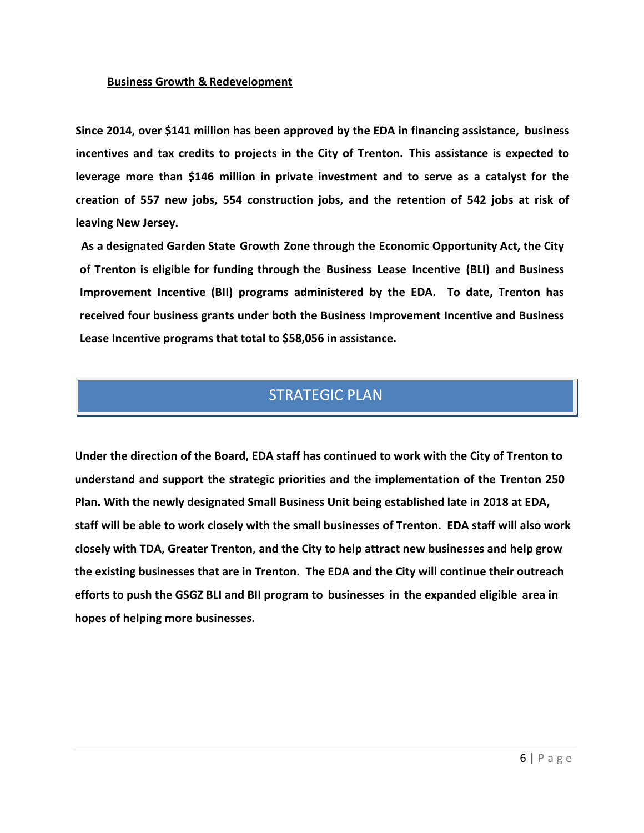#### **Business Growth & Redevelopment**

**Since 2014, over \$141 million has been approved by the EDA in financing assistance, business incentives and tax credits to projects in the City of Trenton. This assistance is expected to leverage more than \$146 million in private investment and to serve as a catalyst for the creation of 557 new jobs, 554 construction jobs, and the retention of 542 jobs at risk of leaving New Jersey.**

**As a designated Garden State Growth Zone through the Economic Opportunity Act, the City of Trenton is eligible for funding through the Business Lease Incentive (BLI) and Business Improvement Incentive (BII) programs administered by the EDA. To date, Trenton has received four business grants under both the Business Improvement Incentive and Business Lease Incentive programs that total to \$58,056 in assistance.** 

### **STRATEGIC PLAN**

**Under the direction of the Board, EDA staff has continued to work with the City of Trenton to understand and support the strategic priorities and the implementation of the Trenton 250 Plan. With the newly designated Small Business Unit being established late in 2018 at EDA, staff will be able to work closely with the small businesses of Trenton. EDA staff will also work closely with TDA, Greater Trenton, and the City to help attract new businesses and help grow the existing businesses that are in Trenton. The EDA and the City will continue their outreach efforts to push the GSGZ BLI and BII program to businesses in the expanded eligible area in hopes of helping more businesses.**